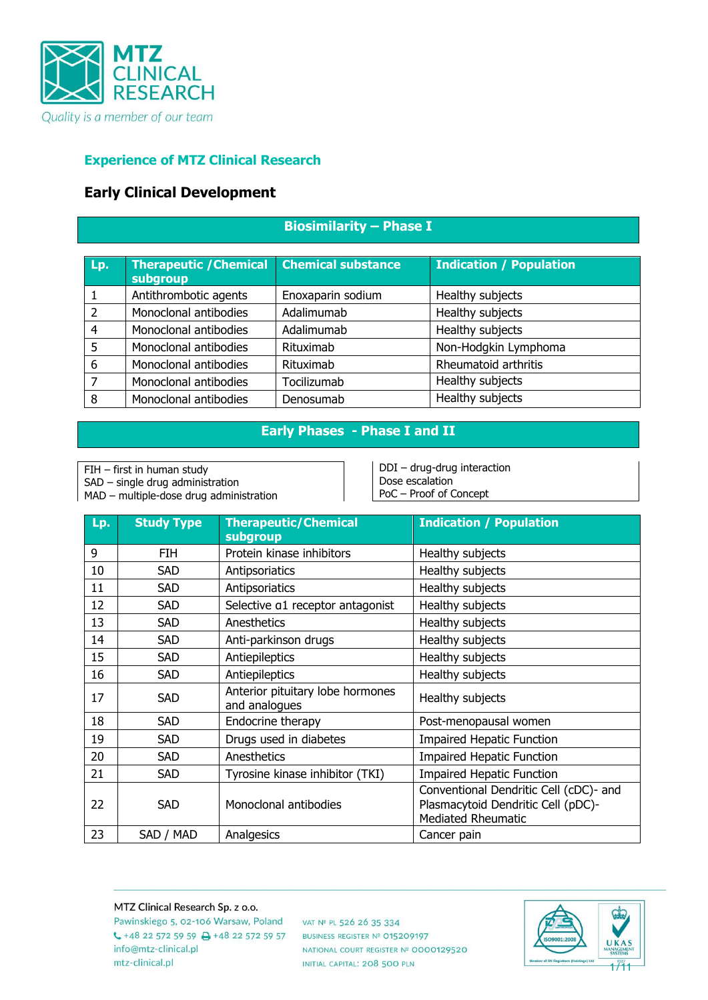

## **Early Clinical Development**

## **Biosimilarity – Phase I**

| Lp. | <b>Therapeutic / Chemical</b><br>subgroup | <b>Chemical substance</b> | <b>Indication / Population</b> |
|-----|-------------------------------------------|---------------------------|--------------------------------|
|     | Antithrombotic agents                     | Enoxaparin sodium         | Healthy subjects               |
| 2   | Monoclonal antibodies                     | Adalimumab                | Healthy subjects               |
| 4   | Monoclonal antibodies                     | Adalimumab                | Healthy subjects               |
| 5   | Monoclonal antibodies                     | Rituximab                 | Non-Hodgkin Lymphoma           |
| 6   | Monoclonal antibodies                     | Rituximab                 | Rheumatoid arthritis           |
| 7   | Monoclonal antibodies                     | Tocilizumab               | Healthy subjects               |
| 8   | Monoclonal antibodies                     | Denosumab                 | Healthy subjects               |

## **Early Phases - Phase I and II**

FIH – first in human study

SAD – single drug administration MAD – multiple-dose drug administration

DDI – drug-drug interaction Dose escalation PoC – Proof of Concept

| Lp. | <b>Study Type</b> | <b>Therapeutic/Chemical</b><br>subgroup                             | <b>Indication / Population</b>                                                                            |
|-----|-------------------|---------------------------------------------------------------------|-----------------------------------------------------------------------------------------------------------|
| 9   | <b>FIH</b>        | Protein kinase inhibitors                                           | Healthy subjects                                                                                          |
| 10  | <b>SAD</b>        | Antipsoriatics                                                      | Healthy subjects                                                                                          |
| 11  | <b>SAD</b>        | Antipsoriatics                                                      | Healthy subjects                                                                                          |
| 12  | <b>SAD</b>        | Selective a1 receptor antagonist                                    | Healthy subjects                                                                                          |
| 13  | <b>SAD</b>        | Anesthetics                                                         | Healthy subjects                                                                                          |
| 14  | <b>SAD</b>        | Anti-parkinson drugs                                                | Healthy subjects                                                                                          |
| 15  | <b>SAD</b>        | Antiepileptics                                                      | Healthy subjects                                                                                          |
| 16  | <b>SAD</b>        | Antiepileptics                                                      | Healthy subjects                                                                                          |
| 17  | <b>SAD</b>        | Anterior pituitary lobe hormones<br>and analogues                   | Healthy subjects                                                                                          |
| 18  | <b>SAD</b>        | Endocrine therapy                                                   | Post-menopausal women                                                                                     |
| 19  | <b>SAD</b>        | Drugs used in diabetes                                              | <b>Impaired Hepatic Function</b>                                                                          |
| 20  | <b>SAD</b>        | Anesthetics<br><b>Impaired Hepatic Function</b>                     |                                                                                                           |
| 21  | <b>SAD</b>        | Tyrosine kinase inhibitor (TKI)<br><b>Impaired Hepatic Function</b> |                                                                                                           |
| 22  | <b>SAD</b>        | Monoclonal antibodies                                               | Conventional Dendritic Cell (cDC)- and<br>Plasmacytoid Dendritic Cell (pDC)-<br><b>Mediated Rheumatic</b> |
| 23  | SAD / MAD         | Analgesics                                                          | Cancer pain                                                                                               |

MTZ Clinical Research Sp. z o.o.

Pawinskiego 5, 02-106 Warsaw, Poland  $\leftarrow$  +48 22 572 59 59  $\rightleftarrow$  +48 22 572 59 57 info@mtz-clinical.pl mtz-clinical.pl

VAT Nº PL 526 26 35 334 BUSINESS REGISTER Nº 015209197 NATIONAL COURT REGISTER Nº 0000129520 INITIAL CAPITAL: 208 500 PLN

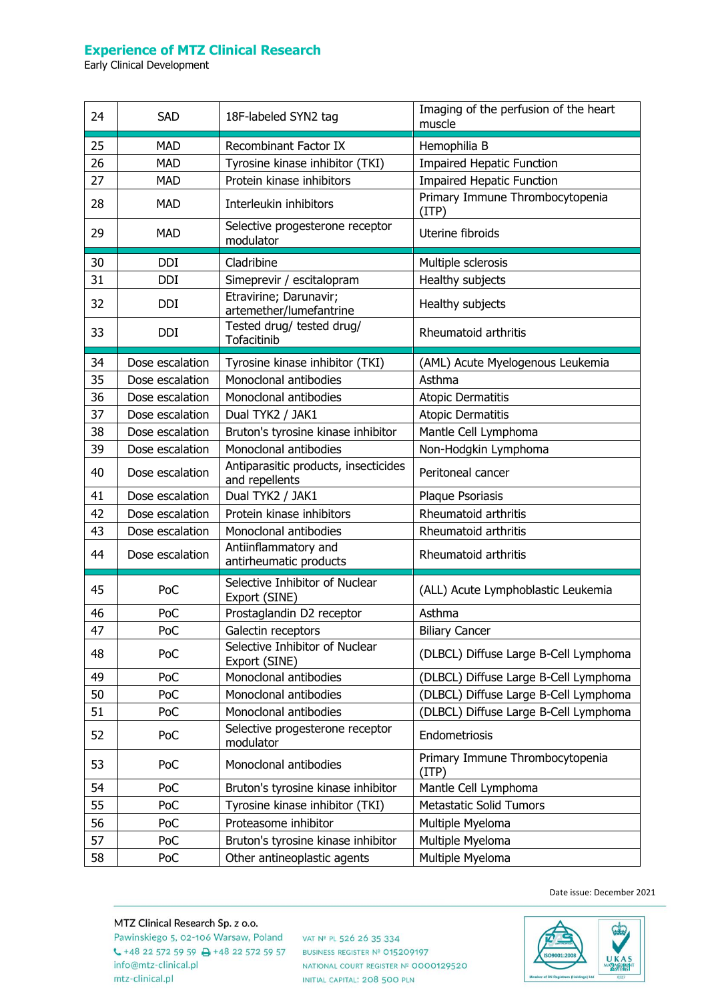Early Clinical Development

| 24 | <b>SAD</b>      | 18F-labeled SYN2 tag                                   | Imaging of the perfusion of the heart<br>muscle |
|----|-----------------|--------------------------------------------------------|-------------------------------------------------|
| 25 | <b>MAD</b>      | Recombinant Factor IX                                  | Hemophilia B                                    |
| 26 | <b>MAD</b>      | Tyrosine kinase inhibitor (TKI)                        | <b>Impaired Hepatic Function</b>                |
| 27 | <b>MAD</b>      | Protein kinase inhibitors                              | <b>Impaired Hepatic Function</b>                |
| 28 | <b>MAD</b>      | Interleukin inhibitors                                 | Primary Immune Thrombocytopenia<br>(ITP)        |
| 29 | <b>MAD</b>      | Selective progesterone receptor<br>modulator           | Uterine fibroids                                |
| 30 | <b>DDI</b>      | Cladribine                                             | Multiple sclerosis                              |
| 31 | <b>DDI</b>      | Simeprevir / escitalopram                              | Healthy subjects                                |
| 32 | <b>DDI</b>      | Etravirine; Darunavir;<br>artemether/lumefantrine      | Healthy subjects                                |
| 33 | <b>DDI</b>      | Tested drug/ tested drug/<br>Tofacitinib               | Rheumatoid arthritis                            |
| 34 | Dose escalation | Tyrosine kinase inhibitor (TKI)                        | (AML) Acute Myelogenous Leukemia                |
| 35 | Dose escalation | Monoclonal antibodies                                  | Asthma                                          |
| 36 | Dose escalation | Monoclonal antibodies                                  | <b>Atopic Dermatitis</b>                        |
| 37 | Dose escalation | Dual TYK2 / JAK1                                       | <b>Atopic Dermatitis</b>                        |
| 38 | Dose escalation | Bruton's tyrosine kinase inhibitor                     | Mantle Cell Lymphoma                            |
| 39 | Dose escalation | Monoclonal antibodies                                  | Non-Hodgkin Lymphoma                            |
| 40 | Dose escalation | Antiparasitic products, insecticides<br>and repellents | Peritoneal cancer                               |
| 41 | Dose escalation | Dual TYK2 / JAK1                                       | Plaque Psoriasis                                |
| 42 | Dose escalation | Protein kinase inhibitors                              | Rheumatoid arthritis                            |
| 43 | Dose escalation | Monoclonal antibodies                                  | Rheumatoid arthritis                            |
| 44 | Dose escalation | Antiinflammatory and<br>antirheumatic products         | Rheumatoid arthritis                            |
| 45 | PoC             | Selective Inhibitor of Nuclear<br>Export (SINE)        | (ALL) Acute Lymphoblastic Leukemia              |
| 46 | PoC             | Prostaglandin D2 receptor                              | Asthma                                          |
| 47 | PoC             | Galectin receptors                                     | <b>Biliary Cancer</b>                           |
| 48 | PoC             | Selective Inhibitor of Nuclear<br>Export (SINE)        | (DLBCL) Diffuse Large B-Cell Lymphoma           |
| 49 | PoC             | Monoclonal antibodies                                  | (DLBCL) Diffuse Large B-Cell Lymphoma           |
| 50 | PoC             | Monoclonal antibodies                                  | (DLBCL) Diffuse Large B-Cell Lymphoma           |
| 51 | PoC             | Monoclonal antibodies                                  | (DLBCL) Diffuse Large B-Cell Lymphoma           |
| 52 | PoC             | Selective progesterone receptor<br>modulator           | Endometriosis                                   |
| 53 | PoC             | Monoclonal antibodies                                  | Primary Immune Thrombocytopenia<br>(ITP)        |
| 54 | PoC             | Bruton's tyrosine kinase inhibitor                     | Mantle Cell Lymphoma                            |
| 55 | PoC             | Tyrosine kinase inhibitor (TKI)                        | <b>Metastatic Solid Tumors</b>                  |
| 56 | PoC             | Proteasome inhibitor                                   | Multiple Myeloma                                |
| 57 | PoC             | Bruton's tyrosine kinase inhibitor                     | Multiple Myeloma                                |
| 58 | PoC             | Other antineoplastic agents                            | Multiple Myeloma                                |

Date issue: December 2021

MTZ Clinical Research Sp. z o.o. Pawinskiego 5, 02-106 Warsaw, Poland vAT Nº PL 526 26 35 334  $\leftarrow$  +48 22 572 59 59  $\rightleftarrows$  +48 22 572 59 57 info@mtz-clinical.pl mtz-clinical.pl

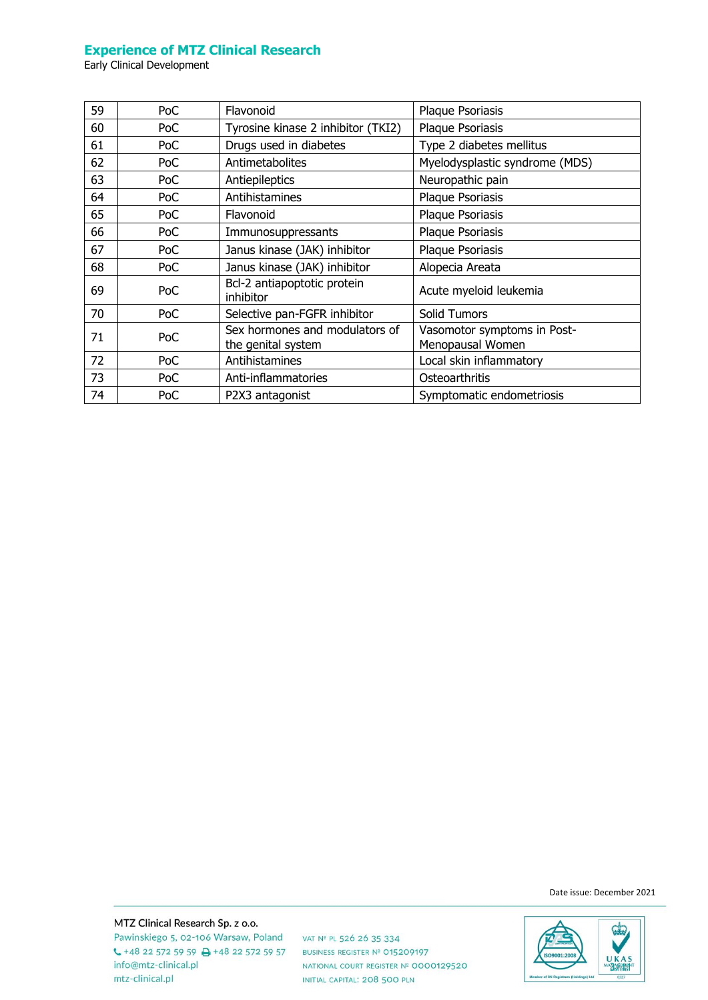Early Clinical Development

| 59 | PoC | Flavonoid                                            | Plaque Psoriasis                                |
|----|-----|------------------------------------------------------|-------------------------------------------------|
| 60 | PoC | Tyrosine kinase 2 inhibitor (TKI2)                   | Plaque Psoriasis                                |
| 61 | PoC | Drugs used in diabetes                               | Type 2 diabetes mellitus                        |
| 62 | PoC | Antimetabolites                                      | Myelodysplastic syndrome (MDS)                  |
| 63 | PoC | Antiepileptics                                       | Neuropathic pain                                |
| 64 | PoC | Antihistamines                                       | Plaque Psoriasis                                |
| 65 | PoC | Flavonoid                                            | Plaque Psoriasis                                |
| 66 | PoC | Immunosuppressants                                   | Plaque Psoriasis                                |
| 67 | PoC | Janus kinase (JAK) inhibitor                         | Plaque Psoriasis                                |
| 68 | PoC | Janus kinase (JAK) inhibitor                         | Alopecia Areata                                 |
| 69 | PoC | Bcl-2 antiapoptotic protein<br>inhibitor             | Acute myeloid leukemia                          |
| 70 | PoC | Selective pan-FGFR inhibitor                         | Solid Tumors                                    |
| 71 | PoC | Sex hormones and modulators of<br>the genital system | Vasomotor symptoms in Post-<br>Menopausal Women |
| 72 | PoC | Antihistamines                                       | Local skin inflammatory                         |
| 73 | PoC | Anti-inflammatories                                  | Osteoarthritis                                  |
| 74 | PoC | P2X3 antagonist                                      | Symptomatic endometriosis                       |

Date issue: December 2021



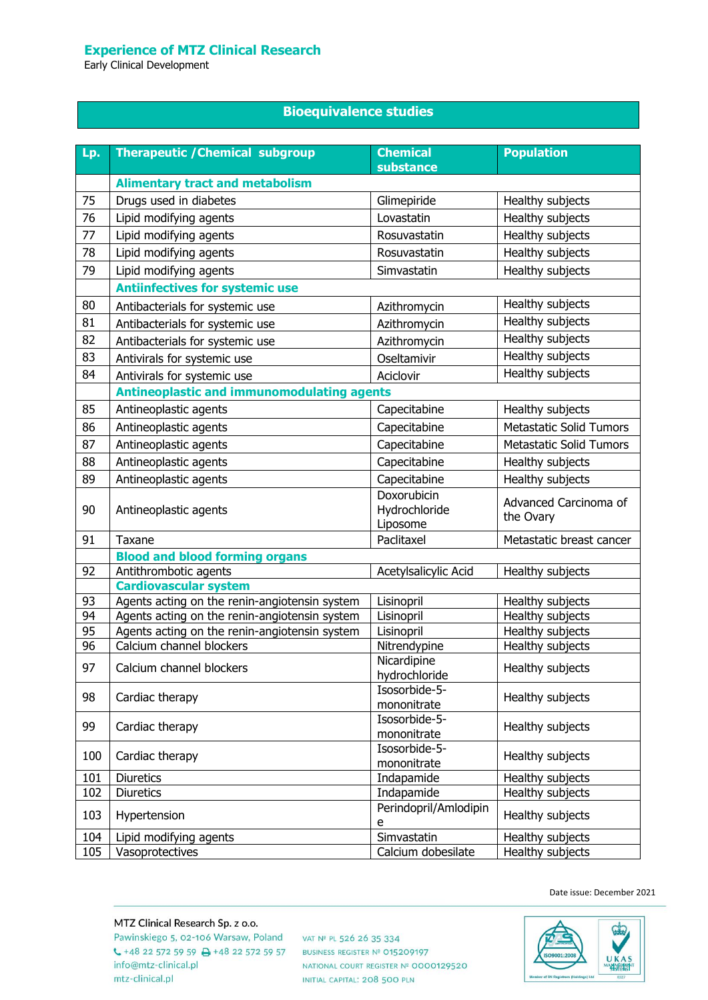Early Clinical Development

#### **Bioequivalence studies**

| Lp. | <b>Therapeutic / Chemical subgroup</b>            | <b>Chemical</b>                          | <b>Population</b>                  |
|-----|---------------------------------------------------|------------------------------------------|------------------------------------|
|     | <b>Alimentary tract and metabolism</b>            | substance                                |                                    |
| 75  | Drugs used in diabetes                            | Glimepiride                              | Healthy subjects                   |
| 76  | Lipid modifying agents                            | Lovastatin                               | Healthy subjects                   |
| 77  | Lipid modifying agents                            | Rosuvastatin                             | Healthy subjects                   |
| 78  | Lipid modifying agents                            | Rosuvastatin                             | Healthy subjects                   |
| 79  | Lipid modifying agents                            | Simvastatin                              | Healthy subjects                   |
|     | <b>Antiinfectives for systemic use</b>            |                                          |                                    |
| 80  |                                                   |                                          | Healthy subjects                   |
|     | Antibacterials for systemic use                   | Azithromycin                             | Healthy subjects                   |
| 81  | Antibacterials for systemic use                   | Azithromycin                             |                                    |
| 82  | Antibacterials for systemic use                   | Azithromycin                             | Healthy subjects                   |
| 83  | Antivirals for systemic use                       | Oseltamivir                              | Healthy subjects                   |
| 84  | Antivirals for systemic use                       | Aciclovir                                | Healthy subjects                   |
|     | <b>Antineoplastic and immunomodulating agents</b> |                                          |                                    |
| 85  | Antineoplastic agents                             | Capecitabine                             | Healthy subjects                   |
| 86  | Antineoplastic agents                             | Capecitabine                             | <b>Metastatic Solid Tumors</b>     |
| 87  | Antineoplastic agents                             | Capecitabine                             | <b>Metastatic Solid Tumors</b>     |
| 88  | Antineoplastic agents                             | Capecitabine                             | Healthy subjects                   |
| 89  | Antineoplastic agents                             | Capecitabine                             | Healthy subjects                   |
| 90  | Antineoplastic agents                             | Doxorubicin<br>Hydrochloride<br>Liposome | Advanced Carcinoma of<br>the Ovary |
| 91  | Taxane                                            | Paclitaxel                               | Metastatic breast cancer           |
|     | <b>Blood and blood forming organs</b>             |                                          |                                    |
| 92  | Antithrombotic agents                             | Acetylsalicylic Acid                     | Healthy subjects                   |
|     | <b>Cardiovascular system</b>                      |                                          |                                    |
| 93  | Agents acting on the renin-angiotensin system     | Lisinopril                               | Healthy subjects                   |
| 94  | Agents acting on the renin-angiotensin system     | Lisinopril                               | Healthy subjects                   |
| 95  | Agents acting on the renin-angiotensin system     | Lisinopril                               | Healthy subjects                   |
| 96  | Calcium channel blockers                          | Nitrendypine                             | Healthy subjects                   |
| 97  | Calcium channel blockers                          | Nicardipine<br>hydrochloride             | Healthy subjects                   |
| 98  | Cardiac therapy                                   | Isosorbide-5-<br>mononitrate             | Healthy subjects                   |
| 99  | Cardiac therapy                                   | Isosorbide-5-<br>mononitrate             | Healthy subjects                   |
| 100 | Cardiac therapy                                   | Isosorbide-5-<br>mononitrate             | Healthy subjects                   |
| 101 | <b>Diuretics</b>                                  | Indapamide                               | Healthy subjects                   |
| 102 | <b>Diuretics</b>                                  | Indapamide                               | Healthy subjects                   |
| 103 | Hypertension                                      | Perindopril/Amlodipin<br>e               | Healthy subjects                   |
| 104 | Lipid modifying agents                            | Simvastatin                              | Healthy subjects                   |
| 105 | Vasoprotectives                                   | Calcium dobesilate                       | Healthy subjects                   |

Date issue: December 2021

MTZ Clinical Research Sp. z o.o. Pawinskiego 5, 02-106 Warsaw, Poland vAT Nº PL 526 26 35 334  $\leftarrow$  +48 22 572 59 59  $\rightleftarrows$  +48 22 572 59 57 info@mtz-clinical.pl mtz-clinical.pl

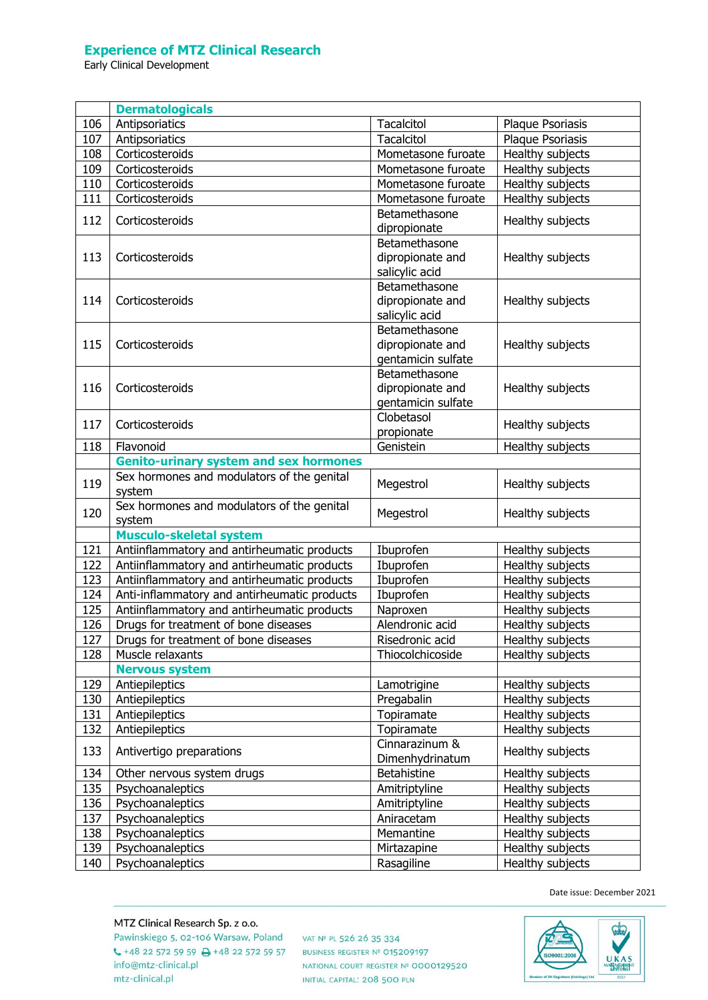Early Clinical Development

|     | <b>Dermatologicals</b>                        |                    |                  |
|-----|-----------------------------------------------|--------------------|------------------|
| 106 | Antipsoriatics                                | Tacalcitol         | Plaque Psoriasis |
| 107 | Antipsoriatics                                | Tacalcitol         | Plaque Psoriasis |
| 108 | Corticosteroids                               | Mometasone furoate | Healthy subjects |
| 109 | Corticosteroids                               | Mometasone furoate | Healthy subjects |
| 110 | Corticosteroids                               | Mometasone furoate | Healthy subjects |
| 111 | Corticosteroids                               | Mometasone furoate | Healthy subjects |
|     |                                               | Betamethasone      |                  |
| 112 | Corticosteroids                               | dipropionate       | Healthy subjects |
|     |                                               | Betamethasone      |                  |
| 113 | Corticosteroids                               | dipropionate and   | Healthy subjects |
|     |                                               | salicylic acid     |                  |
|     |                                               | Betamethasone      |                  |
| 114 | Corticosteroids                               | dipropionate and   | Healthy subjects |
|     |                                               | salicylic acid     |                  |
|     |                                               | Betamethasone      |                  |
| 115 | Corticosteroids                               | dipropionate and   | Healthy subjects |
|     |                                               | gentamicin sulfate |                  |
|     |                                               | Betamethasone      |                  |
| 116 | Corticosteroids                               | dipropionate and   | Healthy subjects |
|     |                                               | gentamicin sulfate |                  |
| 117 | Corticosteroids                               | Clobetasol         | Healthy subjects |
|     |                                               | propionate         |                  |
| 118 | Flavonoid                                     | Genistein          | Healthy subjects |
|     | <b>Genito-urinary system and sex hormones</b> |                    |                  |
| 119 | Sex hormones and modulators of the genital    | Megestrol          | Healthy subjects |
|     | system                                        |                    |                  |
| 120 | Sex hormones and modulators of the genital    | Megestrol          | Healthy subjects |
|     | system                                        |                    |                  |
|     | <b>Musculo-skeletal system</b>                |                    |                  |
| 121 | Antiinflammatory and antirheumatic products   | Ibuprofen          | Healthy subjects |
| 122 | Antiinflammatory and antirheumatic products   | Ibuprofen          | Healthy subjects |
| 123 | Antiinflammatory and antirheumatic products   | Ibuprofen          | Healthy subjects |
| 124 | Anti-inflammatory and antirheumatic products  | Ibuprofen          | Healthy subjects |
| 125 | Antiinflammatory and antirheumatic products   | Naproxen           | Healthy subjects |
| 126 | Drugs for treatment of bone diseases          | Alendronic acid    | Healthy subjects |
| 127 | Drugs for treatment of bone diseases          | Risedronic acid    | Healthy subjects |
| 128 | Muscle relaxants                              | Thiocolchicoside   | Healthy subjects |
|     | <b>Nervous system</b>                         |                    |                  |
| 129 | Antiepileptics                                | Lamotrigine        | Healthy subjects |
| 130 | Antiepileptics                                | Pregabalin         | Healthy subjects |
| 131 | Antiepileptics                                | Topiramate         | Healthy subjects |
| 132 | Antiepileptics                                | Topiramate         | Healthy subjects |
| 133 | Antivertigo preparations                      | Cinnarazinum &     | Healthy subjects |
|     |                                               | Dimenhydrinatum    |                  |
| 134 | Other nervous system drugs                    | Betahistine        | Healthy subjects |
| 135 | Psychoanaleptics                              | Amitriptyline      | Healthy subjects |
| 136 | Psychoanaleptics                              | Amitriptyline      | Healthy subjects |
| 137 | Psychoanaleptics                              | Aniracetam         | Healthy subjects |
| 138 | Psychoanaleptics                              | Memantine          | Healthy subjects |
| 139 | Psychoanaleptics                              | Mirtazapine        | Healthy subjects |
| 140 | Psychoanaleptics                              | Rasagiline         | Healthy subjects |

Date issue: December 2021

MTZ Clinical Research Sp. z o.o. Pawinskiego 5, 02-106 Warsaw, Poland vAT Nº PL 526 26 35 334  $\leftarrow$  +48 22 572 59 59  $\rightleftarrows$  +48 22 572 59 57 info@mtz-clinical.pl mtz-clinical.pl

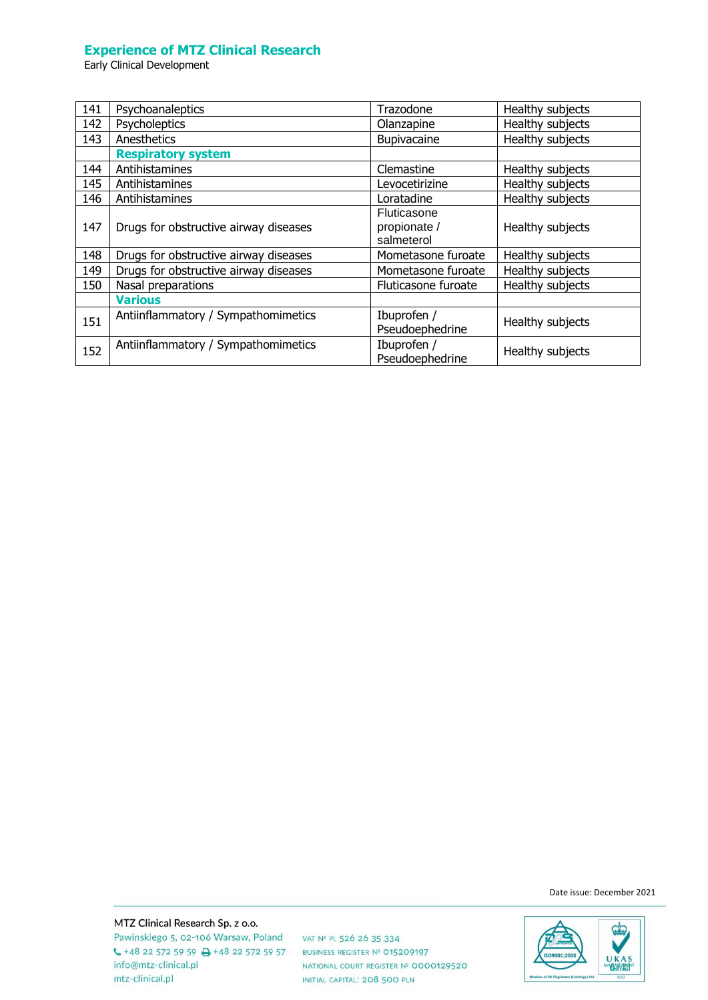Early Clinical Development

| 141 | Psychoanaleptics                      | Trazodone                                 | Healthy subjects |
|-----|---------------------------------------|-------------------------------------------|------------------|
| 142 | Psycholeptics                         | Olanzapine                                | Healthy subjects |
| 143 | Anesthetics                           | Bupivacaine                               | Healthy subjects |
|     | <b>Respiratory system</b>             |                                           |                  |
| 144 | Antihistamines                        | Clemastine                                | Healthy subjects |
| 145 | Antihistamines                        | Levocetirizine                            | Healthy subjects |
| 146 | Antihistamines                        | Loratadine                                | Healthy subjects |
| 147 | Drugs for obstructive airway diseases | Fluticasone<br>propionate /<br>salmeterol | Healthy subjects |
| 148 | Drugs for obstructive airway diseases | Mometasone furoate                        | Healthy subjects |
| 149 | Drugs for obstructive airway diseases | Mometasone furoate                        | Healthy subjects |
| 150 | Nasal preparations                    | Fluticasone furoate                       | Healthy subjects |
|     | <b>Various</b>                        |                                           |                  |
| 151 | Antiinflammatory / Sympathomimetics   | Ibuprofen /<br>Pseudoephedrine            | Healthy subjects |
| 152 | Antiinflammatory / Sympathomimetics   | Ibuprofen /<br>Pseudoephedrine            | Healthy subjects |

Date issue: December 2021

MTZ Clinical Research Sp. z o.o. Pawinskiego 5, 02-106 Warsaw, Poland vAT Nº PL 526 26 35 334  $\leftarrow$  +48 22 572 59 59  $\rightleftarrows$  +48 22 572 59 57 info@mtz-clinical.pl mtz-clinical.pl

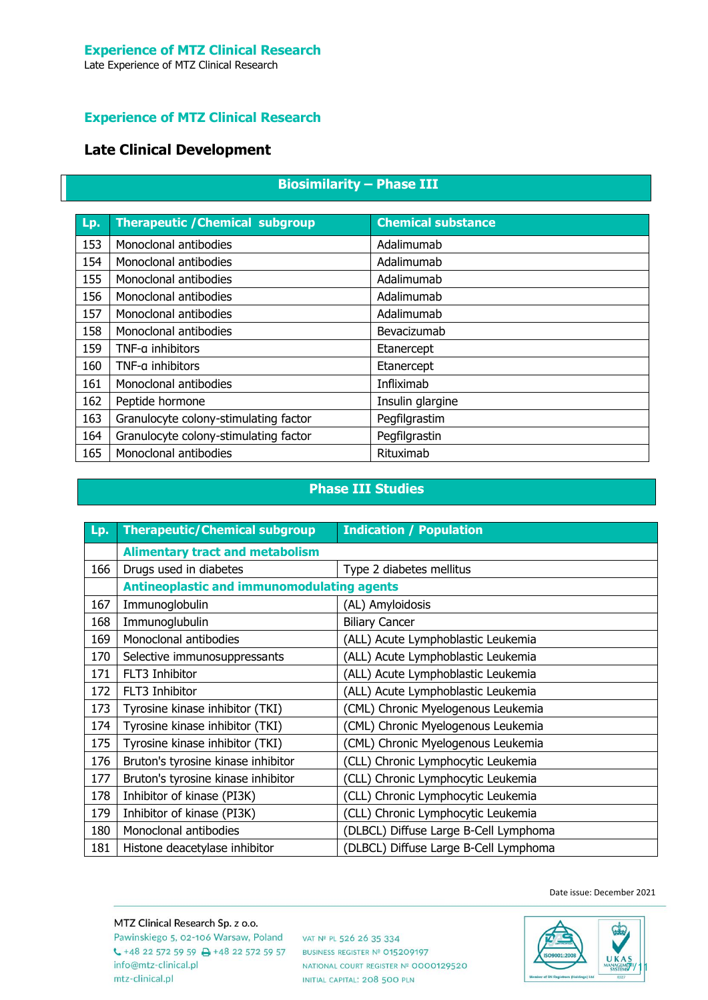Late Experience of MTZ Clinical Research

## **Experience of MTZ Clinical Research**

## **Late Clinical Development**

### **Biosimilarity – Phase III**

| Lp. | <b>Therapeutic / Chemical subgroup</b> | <b>Chemical substance</b> |
|-----|----------------------------------------|---------------------------|
| 153 | Monoclonal antibodies                  | Adalimumab                |
| 154 | Monoclonal antibodies                  | Adalimumab                |
| 155 | Monoclonal antibodies                  | Adalimumab                |
| 156 | Monoclonal antibodies                  | Adalimumab                |
| 157 | Monoclonal antibodies                  | Adalimumab                |
| 158 | Monoclonal antibodies                  | Bevacizumab               |
| 159 | TNF-a inhibitors                       | Etanercept                |
| 160 | TNF-a inhibitors                       | Etanercept                |
| 161 | Monoclonal antibodies                  | Infliximab                |
| 162 | Peptide hormone                        | Insulin glargine          |
| 163 | Granulocyte colony-stimulating factor  | Pegfilgrastim             |
| 164 | Granulocyte colony-stimulating factor  | Pegfilgrastin             |
| 165 | Monoclonal antibodies                  | Rituximab                 |

# **Phase III Studies**

| Lp. | <b>Therapeutic/Chemical subgroup</b>              | <b>Indication / Population</b>        |
|-----|---------------------------------------------------|---------------------------------------|
|     | <b>Alimentary tract and metabolism</b>            |                                       |
| 166 | Drugs used in diabetes                            | Type 2 diabetes mellitus              |
|     | <b>Antineoplastic and immunomodulating agents</b> |                                       |
| 167 | Immunoglobulin                                    | (AL) Amyloidosis                      |
| 168 | Immunoglubulin                                    | <b>Biliary Cancer</b>                 |
| 169 | Monoclonal antibodies                             | (ALL) Acute Lymphoblastic Leukemia    |
| 170 | Selective immunosuppressants                      | (ALL) Acute Lymphoblastic Leukemia    |
| 171 | FLT3 Inhibitor                                    | (ALL) Acute Lymphoblastic Leukemia    |
| 172 | FLT3 Inhibitor                                    | (ALL) Acute Lymphoblastic Leukemia    |
| 173 | Tyrosine kinase inhibitor (TKI)                   | (CML) Chronic Myelogenous Leukemia    |
| 174 | Tyrosine kinase inhibitor (TKI)                   | (CML) Chronic Myelogenous Leukemia    |
| 175 | Tyrosine kinase inhibitor (TKI)                   | (CML) Chronic Myelogenous Leukemia    |
| 176 | Bruton's tyrosine kinase inhibitor                | (CLL) Chronic Lymphocytic Leukemia    |
| 177 | Bruton's tyrosine kinase inhibitor                | (CLL) Chronic Lymphocytic Leukemia    |
| 178 | Inhibitor of kinase (PI3K)                        | (CLL) Chronic Lymphocytic Leukemia    |
| 179 | Inhibitor of kinase (PI3K)                        | (CLL) Chronic Lymphocytic Leukemia    |
| 180 | Monoclonal antibodies                             | (DLBCL) Diffuse Large B-Cell Lymphoma |
| 181 | Histone deacetylase inhibitor                     | (DLBCL) Diffuse Large B-Cell Lymphoma |

Date issue: December 2021

MTZ Clinical Research Sp. z o.o. Pawinskiego 5, 02-106 Warsaw, Poland vAT Nº PL 526 26 35 334  $\leftarrow$  +48 22 572 59 59  $\rightleftarrows$  +48 22 572 59 57 info@mtz-clinical.pl mtz-clinical.pl

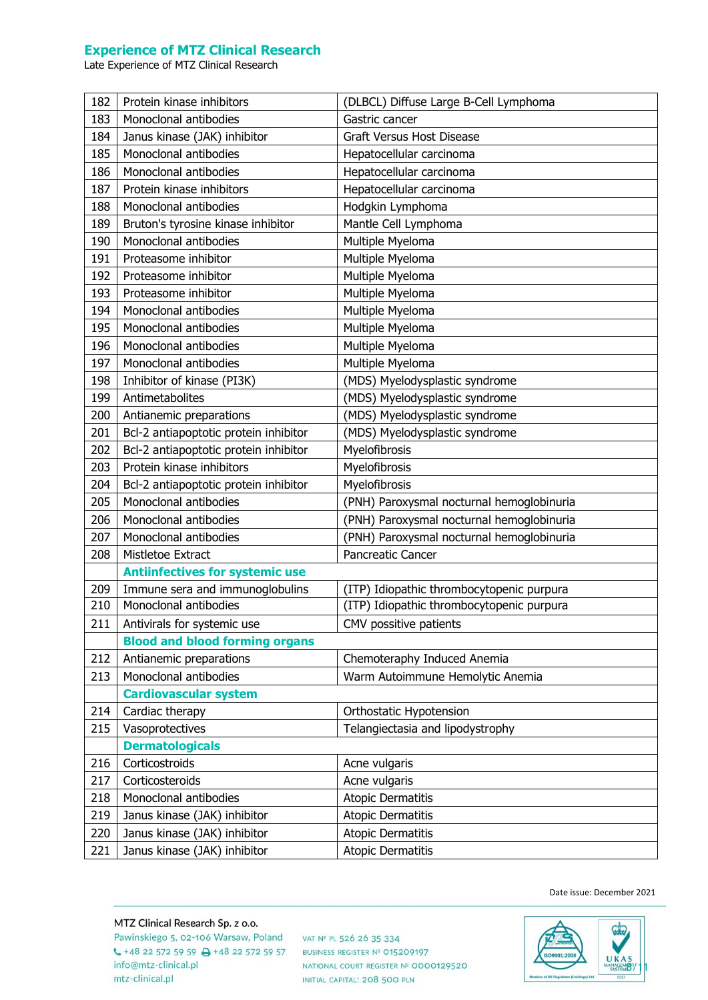Late Experience of MTZ Clinical Research

| 182 | Protein kinase inhibitors              | (DLBCL) Diffuse Large B-Cell Lymphoma     |
|-----|----------------------------------------|-------------------------------------------|
| 183 | Monoclonal antibodies                  | Gastric cancer                            |
| 184 | Janus kinase (JAK) inhibitor           | <b>Graft Versus Host Disease</b>          |
| 185 | Monoclonal antibodies                  | Hepatocellular carcinoma                  |
| 186 | Monoclonal antibodies                  | Hepatocellular carcinoma                  |
| 187 | Protein kinase inhibitors              | Hepatocellular carcinoma                  |
| 188 | Monoclonal antibodies                  | Hodgkin Lymphoma                          |
| 189 | Bruton's tyrosine kinase inhibitor     | Mantle Cell Lymphoma                      |
| 190 | Monoclonal antibodies                  | Multiple Myeloma                          |
| 191 | Proteasome inhibitor                   | Multiple Myeloma                          |
| 192 | Proteasome inhibitor                   | Multiple Myeloma                          |
| 193 | Proteasome inhibitor                   | Multiple Myeloma                          |
| 194 | Monoclonal antibodies                  | Multiple Myeloma                          |
| 195 | Monoclonal antibodies                  | Multiple Myeloma                          |
| 196 | Monoclonal antibodies                  | Multiple Myeloma                          |
| 197 | Monoclonal antibodies                  | Multiple Myeloma                          |
| 198 | Inhibitor of kinase (PI3K)             | (MDS) Myelodysplastic syndrome            |
| 199 | Antimetabolites                        | (MDS) Myelodysplastic syndrome            |
| 200 | Antianemic preparations                | (MDS) Myelodysplastic syndrome            |
| 201 | Bcl-2 antiapoptotic protein inhibitor  | (MDS) Myelodysplastic syndrome            |
| 202 | Bcl-2 antiapoptotic protein inhibitor  | Myelofibrosis                             |
| 203 | Protein kinase inhibitors              | Myelofibrosis                             |
| 204 | Bcl-2 antiapoptotic protein inhibitor  | Myelofibrosis                             |
| 205 | Monoclonal antibodies                  | (PNH) Paroxysmal nocturnal hemoglobinuria |
| 206 | Monoclonal antibodies                  | (PNH) Paroxysmal nocturnal hemoglobinuria |
| 207 | Monoclonal antibodies                  | (PNH) Paroxysmal nocturnal hemoglobinuria |
| 208 | Mistletoe Extract                      | Pancreatic Cancer                         |
|     | <b>Antiinfectives for systemic use</b> |                                           |
| 209 | Immune sera and immunoglobulins        | (ITP) Idiopathic thrombocytopenic purpura |
| 210 | Monoclonal antibodies                  | (ITP) Idiopathic thrombocytopenic purpura |
| 211 | Antivirals for systemic use            | CMV possitive patients                    |
|     | <b>Blood and blood forming organs</b>  |                                           |
| 212 | Antianemic preparations                | Chemoteraphy Induced Anemia               |
| 213 | Monoclonal antibodies                  | Warm Autoimmune Hemolytic Anemia          |
|     | <b>Cardiovascular system</b>           |                                           |
| 214 | Cardiac therapy                        | Orthostatic Hypotension                   |
| 215 | Vasoprotectives                        | Telangiectasia and lipodystrophy          |
|     | <b>Dermatologicals</b>                 |                                           |
| 216 | Corticostroids                         | Acne vulgaris                             |
| 217 | Corticosteroids                        | Acne vulgaris                             |
| 218 | Monoclonal antibodies                  | <b>Atopic Dermatitis</b>                  |
| 219 | Janus kinase (JAK) inhibitor           | <b>Atopic Dermatitis</b>                  |
| 220 | Janus kinase (JAK) inhibitor           | <b>Atopic Dermatitis</b>                  |
| 221 | Janus kinase (JAK) inhibitor           | <b>Atopic Dermatitis</b>                  |

Date issue: December 2021

MTZ Clinical Research Sp. z o.o. Pawinskiego 5, 02-106 Warsaw, Poland vAT Nº PL 526 26 35 334  $\leftarrow$  +48 22 572 59 59  $\rightleftarrows$  +48 22 572 59 57 info@mtz-clinical.pl mtz-clinical.pl

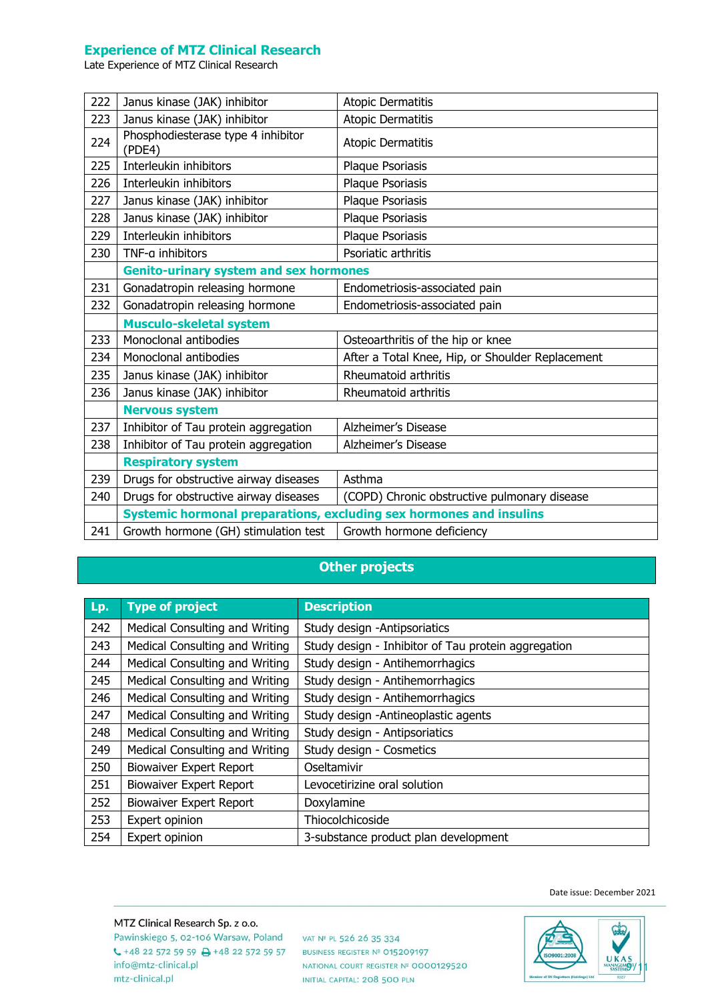Late Experience of MTZ Clinical Research

| 222 | Janus kinase (JAK) inhibitor                                        | <b>Atopic Dermatitis</b>                         |
|-----|---------------------------------------------------------------------|--------------------------------------------------|
| 223 | Janus kinase (JAK) inhibitor                                        | <b>Atopic Dermatitis</b>                         |
| 224 | Phosphodiesterase type 4 inhibitor<br>(PDE4)                        | <b>Atopic Dermatitis</b>                         |
| 225 | Interleukin inhibitors                                              | Plaque Psoriasis                                 |
| 226 | Interleukin inhibitors                                              | Plaque Psoriasis                                 |
| 227 | Janus kinase (JAK) inhibitor                                        | Plaque Psoriasis                                 |
| 228 | Janus kinase (JAK) inhibitor                                        | Plaque Psoriasis                                 |
| 229 | Interleukin inhibitors                                              | Plaque Psoriasis                                 |
| 230 | TNF-a inhibitors                                                    | Psoriatic arthritis                              |
|     | <b>Genito-urinary system and sex hormones</b>                       |                                                  |
| 231 | Gonadatropin releasing hormone                                      | Endometriosis-associated pain                    |
| 232 | Gonadatropin releasing hormone                                      | Endometriosis-associated pain                    |
|     | <b>Musculo-skeletal system</b>                                      |                                                  |
| 233 | Monoclonal antibodies                                               | Osteoarthritis of the hip or knee                |
| 234 | Monoclonal antibodies                                               | After a Total Knee, Hip, or Shoulder Replacement |
| 235 | Janus kinase (JAK) inhibitor                                        | Rheumatoid arthritis                             |
| 236 | Janus kinase (JAK) inhibitor                                        | Rheumatoid arthritis                             |
|     | <b>Nervous system</b>                                               |                                                  |
| 237 | Inhibitor of Tau protein aggregation                                | Alzheimer's Disease                              |
| 238 | Inhibitor of Tau protein aggregation                                | Alzheimer's Disease                              |
|     |                                                                     |                                                  |
|     | <b>Respiratory system</b>                                           |                                                  |
| 239 | Drugs for obstructive airway diseases                               | Asthma                                           |
| 240 | Drugs for obstructive airway diseases                               | (COPD) Chronic obstructive pulmonary disease     |
|     | Systemic hormonal preparations, excluding sex hormones and insulins |                                                  |

## **Other projects**

| Lp. | <b>Type of project</b>         | <b>Description</b>                                  |
|-----|--------------------------------|-----------------------------------------------------|
| 242 | Medical Consulting and Writing | Study design -Antipsoriatics                        |
| 243 | Medical Consulting and Writing | Study design - Inhibitor of Tau protein aggregation |
| 244 | Medical Consulting and Writing | Study design - Antihemorrhagics                     |
| 245 | Medical Consulting and Writing | Study design - Antihemorrhagics                     |
| 246 | Medical Consulting and Writing | Study design - Antihemorrhagics                     |
| 247 | Medical Consulting and Writing | Study design -Antineoplastic agents                 |
| 248 | Medical Consulting and Writing | Study design - Antipsoriatics                       |
| 249 | Medical Consulting and Writing | Study design - Cosmetics                            |
| 250 | <b>Biowaiver Expert Report</b> | Oseltamivir                                         |
| 251 | <b>Biowaiver Expert Report</b> | Levocetirizine oral solution                        |
| 252 | <b>Biowaiver Expert Report</b> | Doxylamine                                          |
| 253 | Expert opinion                 | Thiocolchicoside                                    |
| 254 | Expert opinion                 | 3-substance product plan development                |

Date issue: December 2021



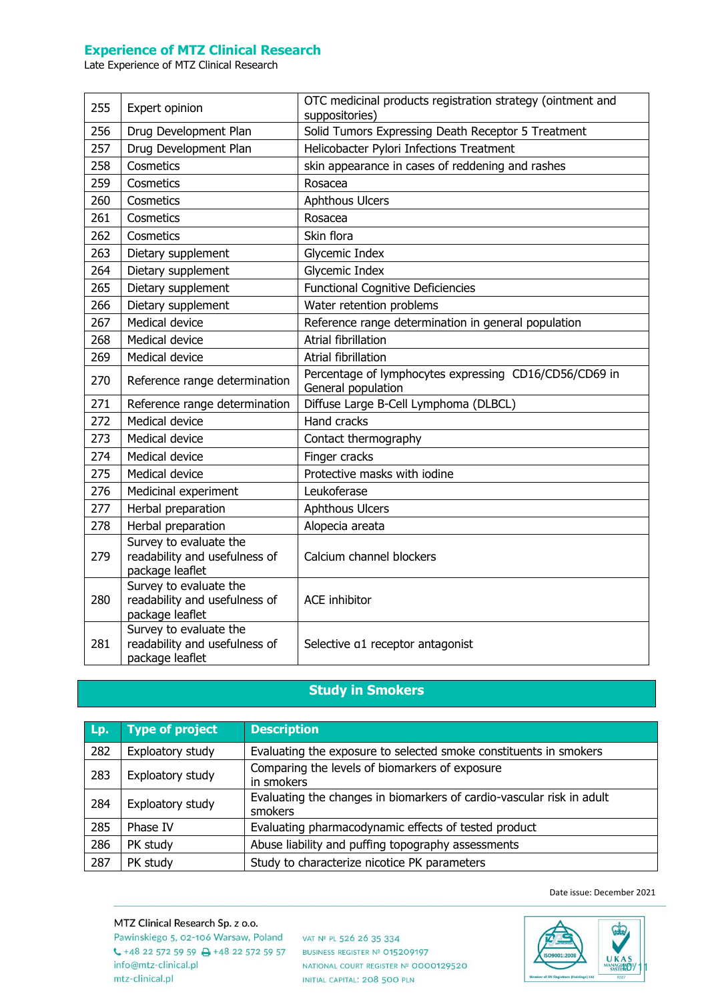Late Experience of MTZ Clinical Research

| 255 | Expert opinion                                                             | OTC medicinal products registration strategy (ointment and<br>suppositories) |
|-----|----------------------------------------------------------------------------|------------------------------------------------------------------------------|
| 256 | Drug Development Plan                                                      | Solid Tumors Expressing Death Receptor 5 Treatment                           |
| 257 | Drug Development Plan                                                      | Helicobacter Pylori Infections Treatment                                     |
| 258 | Cosmetics                                                                  | skin appearance in cases of reddening and rashes                             |
| 259 | Cosmetics                                                                  | Rosacea                                                                      |
| 260 | Cosmetics                                                                  | <b>Aphthous Ulcers</b>                                                       |
| 261 | Cosmetics                                                                  | Rosacea                                                                      |
| 262 | Cosmetics                                                                  | Skin flora                                                                   |
| 263 | Dietary supplement                                                         | Glycemic Index                                                               |
| 264 | Dietary supplement                                                         | Glycemic Index                                                               |
| 265 | Dietary supplement                                                         | <b>Functional Cognitive Deficiencies</b>                                     |
| 266 | Dietary supplement                                                         | Water retention problems                                                     |
| 267 | Medical device                                                             | Reference range determination in general population                          |
| 268 | Medical device                                                             | Atrial fibrillation                                                          |
| 269 | Medical device                                                             | Atrial fibrillation                                                          |
| 270 | Reference range determination                                              | Percentage of lymphocytes expressing CD16/CD56/CD69 in<br>General population |
| 271 | Reference range determination                                              | Diffuse Large B-Cell Lymphoma (DLBCL)                                        |
| 272 | Medical device                                                             | Hand cracks                                                                  |
| 273 | Medical device                                                             | Contact thermography                                                         |
| 274 | Medical device                                                             | Finger cracks                                                                |
| 275 | Medical device                                                             | Protective masks with iodine                                                 |
| 276 | Medicinal experiment                                                       | Leukoferase                                                                  |
| 277 | Herbal preparation                                                         | <b>Aphthous Ulcers</b>                                                       |
| 278 | Herbal preparation                                                         | Alopecia areata                                                              |
| 279 | Survey to evaluate the<br>readability and usefulness of<br>package leaflet | Calcium channel blockers                                                     |
| 280 | Survey to evaluate the<br>readability and usefulness of<br>package leaflet | <b>ACE</b> inhibitor                                                         |
| 281 | Survey to evaluate the<br>readability and usefulness of<br>package leaflet | Selective a1 receptor antagonist                                             |

## **Study in Smokers**

| Lp. | <b>Type of project</b> | <b>Description</b>                                                               |
|-----|------------------------|----------------------------------------------------------------------------------|
| 282 | Exploatory study       | Evaluating the exposure to selected smoke constituents in smokers                |
| 283 | Exploatory study       | Comparing the levels of biomarkers of exposure<br>in smokers                     |
| 284 | Exploatory study       | Evaluating the changes in biomarkers of cardio-vascular risk in adult<br>smokers |
| 285 | Phase IV               | Evaluating pharmacodynamic effects of tested product                             |
| 286 | PK study               | Abuse liability and puffing topography assessments                               |
| 287 | PK study               | Study to characterize nicotice PK parameters                                     |

Date issue: December 2021

MTZ Clinical Research Sp. z o.o. Pawinskiego 5, 02-106 Warsaw, Poland vAT Nº PL 526 26 35 334  $\leftarrow$  +48 22 572 59 59  $\rightleftarrows$  +48 22 572 59 57 info@mtz-clinical.pl mtz-clinical.pl